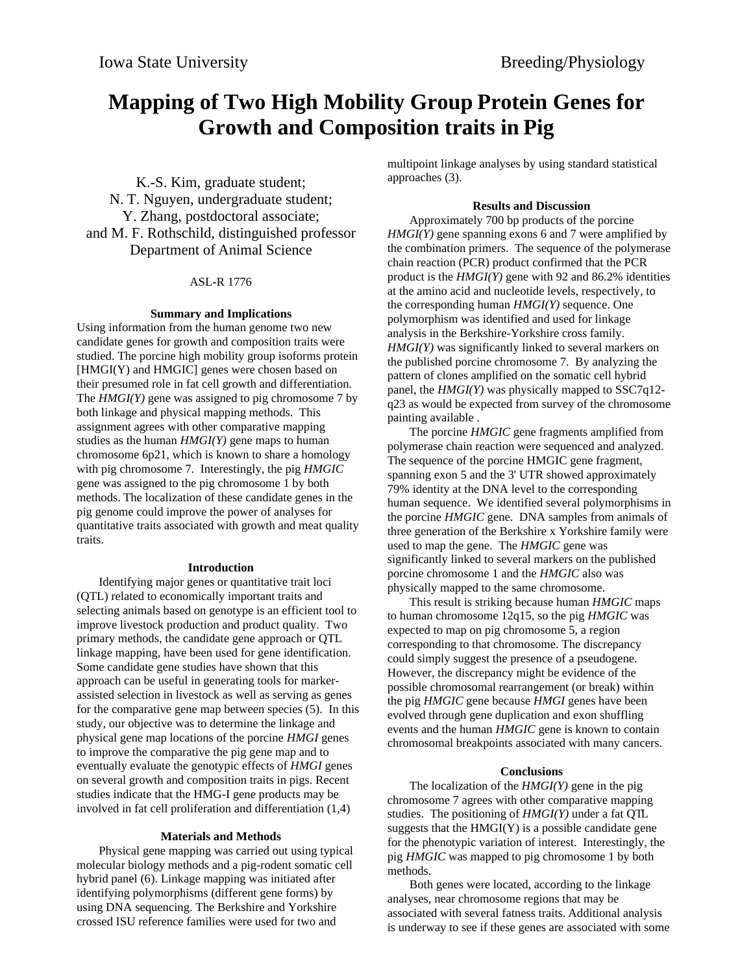# **Mapping of Two High Mobility Group Protein Genes for Growth and Composition traits in Pig**

K.-S. Kim, graduate student; N. T. Nguyen, undergraduate student; Y. Zhang, postdoctoral associate; and M. F. Rothschild, distinguished professor Department of Animal Science

### ASL-R 1776

#### **Summary and Implications**

Using information from the human genome two new candidate genes for growth and composition traits were studied. The porcine high mobility group isoforms protein [HMGI(Y) and HMGIC] genes were chosen based on their presumed role in fat cell growth and differentiation. The *HMGI(Y)* gene was assigned to pig chromosome 7 by both linkage and physical mapping methods. This assignment agrees with other comparative mapping studies as the human *HMGI(Y)* gene maps to human chromosome 6p21, which is known to share a homology with pig chromosome 7. Interestingly, the pig *HMGIC* gene was assigned to the pig chromosome 1 by both methods. The localization of these candidate genes in the pig genome could improve the power of analyses for quantitative traits associated with growth and meat quality traits.

#### **Introduction**

Identifying major genes or quantitative trait loci (QTL) related to economically important traits and selecting animals based on genotype is an efficient tool to improve livestock production and product quality. Two primary methods, the candidate gene approach or QTL linkage mapping, have been used for gene identification. Some candidate gene studies have shown that this approach can be useful in generating tools for markerassisted selection in livestock as well as serving as genes for the comparative gene map between species (5). In this study, our objective was to determine the linkage and physical gene map locations of the porcine *HMGI* genes to improve the comparative the pig gene map and to eventually evaluate the genotypic effects of *HMGI* genes on several growth and composition traits in pigs. Recent studies indicate that the HMG-I gene products may be involved in fat cell proliferation and differentiation (1,4)

#### **Materials and Methods**

Physical gene mapping was carried out using typical molecular biology methods and a pig-rodent somatic cell hybrid panel (6). Linkage mapping was initiated after identifying polymorphisms (different gene forms) by using DNA sequencing. The Berkshire and Yorkshire crossed ISU reference families were used for two and

multipoint linkage analyses by using standard statistical approaches (3).

#### **Results and Discussion**

Approximately 700 bp products of the porcine *HMGI(Y)* gene spanning exons 6 and 7 were amplified by the combination primers. The sequence of the polymerase chain reaction (PCR) product confirmed that the PCR product is the *HMGI(Y)* gene with 92 and 86.2% identities at the amino acid and nucleotide levels, respectively, to the corresponding human *HMGI(Y)* sequence. One polymorphism was identified and used for linkage analysis in the Berkshire-Yorkshire cross family. *HMGI(Y)* was significantly linked to several markers on the published porcine chromosome 7. By analyzing the pattern of clones amplified on the somatic cell hybrid panel, the *HMGI(Y)* was physically mapped to SSC7q12 q23 as would be expected from survey of the chromosome painting available .

The porcine *HMGIC* gene fragments amplified from polymerase chain reaction were sequenced and analyzed. The sequence of the porcine HMGIC gene fragment, spanning exon 5 and the 3' UTR showed approximately 79% identity at the DNA level to the corresponding human sequence. We identified several polymorphisms in the porcine *HMGIC* gene. DNA samples from animals of three generation of the Berkshire x Yorkshire family were used to map the gene. The *HMGIC* gene was significantly linked to several markers on the published porcine chromosome 1 and the *HMGIC* also was physically mapped to the same chromosome.

This result is striking because human *HMGIC* maps to human chromosome 12q15, so the pig *HMGIC* was expected to map on pig chromosome 5, a region corresponding to that chromosome. The discrepancy could simply suggest the presence of a pseudogene. However, the discrepancy might be evidence of the possible chromosomal rearrangement (or break) within the pig *HMGIC* gene because *HMGI* genes have been evolved through gene duplication and exon shuffling events and the human *HMGIC* gene is known to contain chromosomal breakpoints associated with many cancers.

#### **Conclusions**

The localization of the *HMGI(Y)* gene in the pig chromosome 7 agrees with other comparative mapping studies. The positioning of *HMGI(Y)* under a fat QTL suggests that the  $HMGI(Y)$  is a possible candidate gene for the phenotypic variation of interest. Interestingly, the pig *HMGIC* was mapped to pig chromosome 1 by both methods.

Both genes were located, according to the linkage analyses, near chromosome regions that may be associated with several fatness traits. Additional analysis is underway to see if these genes are associated with some